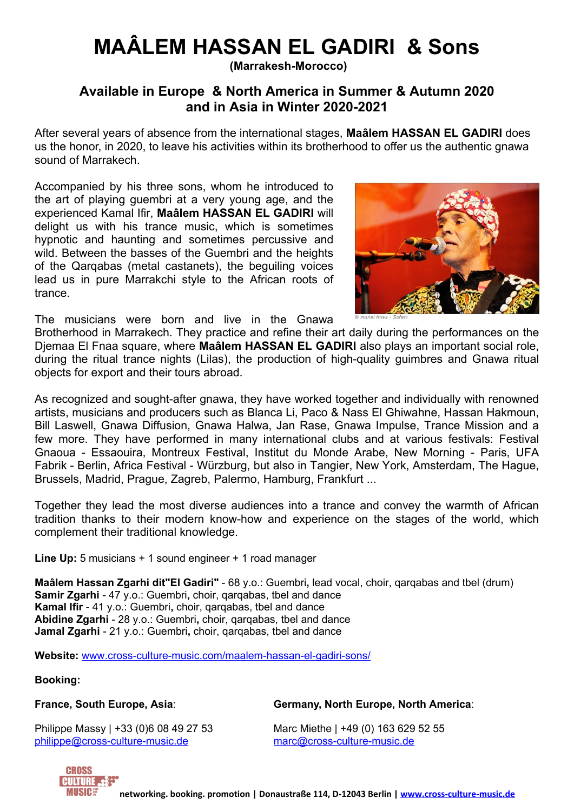# **MAÂLEM HASSAN EL GADIRI & Sons**

**(Marrakesh-Morocco)**

## **Available in Europe & North America in Summer & Autumn 2020 and in Asia in Winter 2020-2021**

After several years of absence from the international stages, **Maâlem HASSAN EL GADIRI** does us the honor, in 2020, to leave his activities within its brotherhood to offer us the authentic gnawa sound of Marrakech.

Accompanied by his three sons, whom he introduced to the art of playing guembri at a very young age, and the experienced Kamal Ifir, **Maâlem HASSAN EL GADIRI** will delight us with his trance music, which is sometimes hypnotic and haunting and sometimes percussive and wild. Between the basses of the Guembri and the heights of the Qarqabas (metal castanets), the beguiling voices lead us in pure Marrakchi style to the African roots of trance.



The musicians were born and live in the Gnawa

Brotherhood in Marrakech. They practice and refine their art daily during the performances on the Djemaa El Fnaa square, where **Maâlem HASSAN EL GADIRI** also plays an important social role, during the ritual trance nights (Lilas), the production of high-quality guimbres and Gnawa ritual objects for export and their tours abroad.

As recognized and sought-after gnawa, they have worked together and individually with renowned artists, musicians and producers such as Blanca Li, Paco & Nass El Ghiwahne, Hassan Hakmoun, Bill Laswell, Gnawa Diffusion, Gnawa Halwa, Jan Rase, Gnawa Impulse, Trance Mission and a few more. They have performed in many international clubs and at various festivals: Festival Gnaoua - Essaouira, Montreux Festival, Institut du Monde Arabe, New Morning - Paris, UFA Fabrik - Berlin, Africa Festival - Würzburg, but also in Tangier, New York, Amsterdam, The Hague, Brussels, Madrid, Prague, Zagreb, Palermo, Hamburg, Frankfurt ...

Together they lead the most diverse audiences into a trance and convey the warmth of African tradition thanks to their modern know-how and experience on the stages of the world, which complement their traditional knowledge.

**Line Up:** 5 musicians + 1 sound engineer + 1 road manager

**Maâlem Hassan Zgarhi dit"El Gadiri"** - 68 y.o.: Guembri**,** lead vocal, choir, qarqabas and tbel (drum) **Samir Zgarhi** - 47 y.o.: Guembri**,** choir, qarqabas, tbel and dance **Kamal Ifir** - 41 y.o.: Guembri**,** choir, qarqabas, tbel and dance **Abidine Zgarhi** - 28 y.o.: Guembri**,** choir, qarqabas, tbel and dance **Jamal Zgarhi** - 21 y.o.: Guembri**,** choir, qarqabas, tbel and dance

**Website:** [www.cross-culture-music.com/maalem-hassan-el-gadiri-sons/](http://www.cross-culture-music.com/maalem-hassan-el-gadiri-sons/)

**Booking:**

WIISIC

**France, South Europe, Asia**: **Germany, North Europe, North America**:

Philippe Massy | +33 (0)6 08 49 27 53 Marc Miethe | +49 (0) 163 629 52 55 [philippe@cross-culture-music.de](mailto:philippe@cross-culture-music.de) [marc@cross-culture-music.de](mailto:marc@cross-culture-music.de)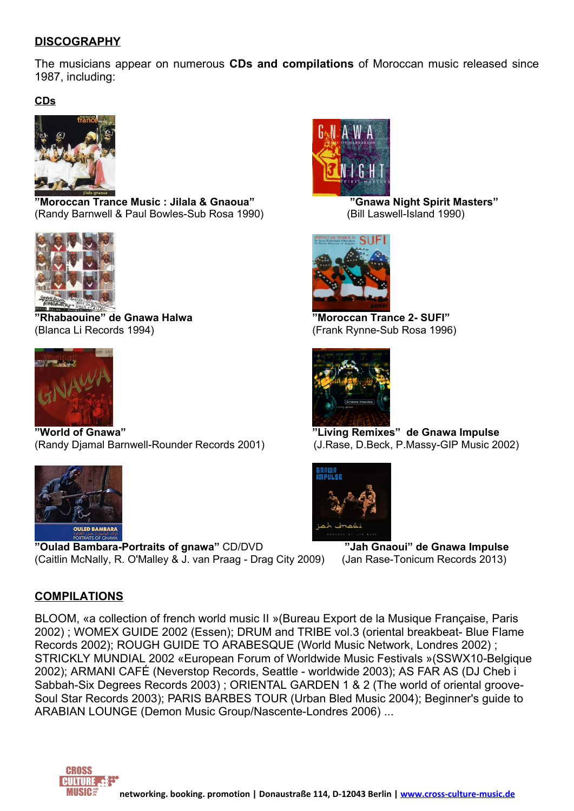#### **DISCOGRAPHY**

The musicians appear on numerous **CDs and compilations** of Moroccan music released since 1987, including:

**CDs**



**"Moroccan Trance Music : Jilala & Gnaoua" "Gnawa Night Spirit Masters"** (Randy [Barnwell](http://subrosalabel.bandcamp.com) & Paul Bowles-Sub Rosa 1990) (Bill Laswell-Island 1990)



**"Rhabaouine" de Gnawa Halwa "Moroccan Trance 2- SUFI"** (Blanca Li Records 1994) (Frank Rynne-Sub Rosa 1996)



**"World of Gnawa" "Living Remixes" de Gnawa Impulse** (Randy Djamal Barnwell-Rounder Records 2001) (J.Rase, D.Beck, P.Massy-GIP Music 2002)



**"Oulad Bambara-Portraits of gnawa"** CD/DVD **"Jah Gnaoui" de Gnawa Impulse** (Caitlin McNally, R. O'Malley & J. van Praag - Drag City 2009) (Jan Rase-Tonicum Records 2013)

#### **COMPILATIONS**

BLOOM, «a collection of french world music II »(Bureau Export de la Musique Française, Paris 2002) ; WOMEX GUIDE 2002 (Essen); DRUM and TRIBE vol.3 (oriental breakbeat- Blue Flame Records 2002); ROUGH GUIDE TO ARABESQUE (World Music Network, Londres 2002) ; STRICKLY MUNDIAL 2002 «European Forum of Worldwide Music Festivals »(SSWX10-Belgique 2002); ARMANI CAFÉ (Neverstop Records, Seattle - worldwide 2003); AS FAR AS (DJ Cheb i Sabbah-Six Degrees Records 2003) ; ORIENTAL GARDEN 1 & 2 (The world of oriental groove-Soul Star Records 2003); PARIS BARBES TOUR (Urban Bled Music 2004); Beginner's guide to ARABIAN LOUNGE (Demon Music Group/Nascente-Londres 2006) ...